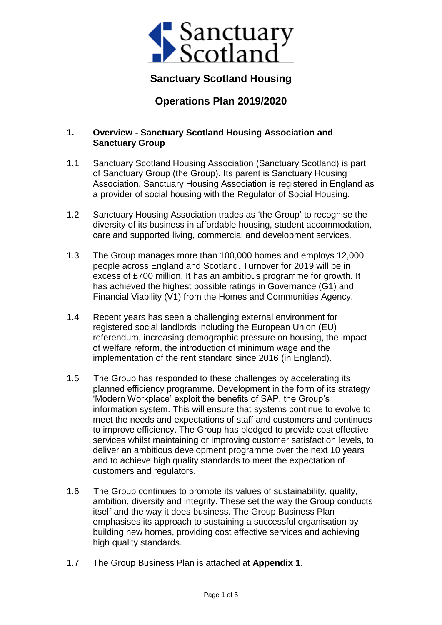

## **Sanctuary Scotland Housing**

# **Operations Plan 2019/2020**

#### **1. Overview - Sanctuary Scotland Housing Association and Sanctuary Group**

- 1.1 Sanctuary Scotland Housing Association (Sanctuary Scotland) is part of Sanctuary Group (the Group). Its parent is Sanctuary Housing Association. Sanctuary Housing Association is registered in England as a provider of social housing with the Regulator of Social Housing.
- 1.2 Sanctuary Housing Association trades as 'the Group' to recognise the diversity of its business in affordable housing, student accommodation, care and supported living, commercial and development services.
- 1.3 The Group manages more than 100,000 homes and employs 12,000 people across England and Scotland. Turnover for 2019 will be in excess of £700 million. It has an ambitious programme for growth. It has achieved the highest possible ratings in Governance (G1) and Financial Viability (V1) from the Homes and Communities Agency.
- 1.4 Recent years has seen a challenging external environment for registered social landlords including the European Union (EU) referendum, increasing demographic pressure on housing, the impact of welfare reform, the introduction of minimum wage and the implementation of the rent standard since 2016 (in England).
- 1.5 The Group has responded to these challenges by accelerating its planned efficiency programme. Development in the form of its strategy 'Modern Workplace' exploit the benefits of SAP, the Group's information system. This will ensure that systems continue to evolve to meet the needs and expectations of staff and customers and continues to improve efficiency. The Group has pledged to provide cost effective services whilst maintaining or improving customer satisfaction levels, to deliver an ambitious development programme over the next 10 years and to achieve high quality standards to meet the expectation of customers and regulators.
- 1.6 The Group continues to promote its values of sustainability, quality, ambition, diversity and integrity. These set the way the Group conducts itself and the way it does business. The Group Business Plan emphasises its approach to sustaining a successful organisation by building new homes, providing cost effective services and achieving high quality standards.
- 1.7 The Group Business Plan is attached at **Appendix 1**.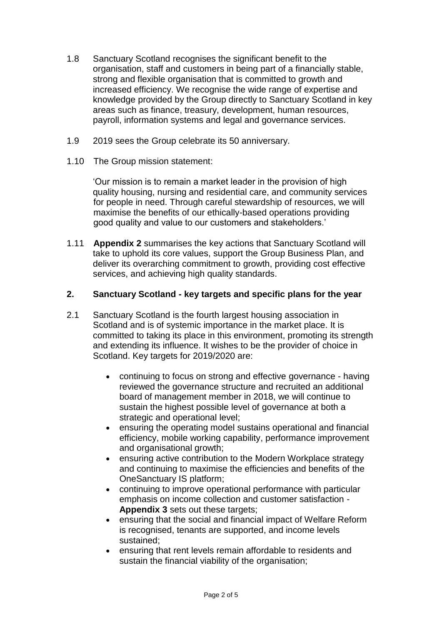- 1.8 Sanctuary Scotland recognises the significant benefit to the organisation, staff and customers in being part of a financially stable, strong and flexible organisation that is committed to growth and increased efficiency. We recognise the wide range of expertise and knowledge provided by the Group directly to Sanctuary Scotland in key areas such as finance, treasury, development, human resources, payroll, information systems and legal and governance services.
- 1.9 2019 sees the Group celebrate its 50 anniversary.
- 1.10 The Group mission statement:

'Our mission is to remain a market leader in the provision of high quality housing, nursing and residential care, and community services for people in need. Through careful stewardship of resources, we will maximise the benefits of our ethically-based operations providing good quality and value to our customers and stakeholders.'

1.11 **Appendix 2** summarises the key actions that Sanctuary Scotland will take to uphold its core values, support the Group Business Plan, and deliver its overarching commitment to growth, providing cost effective services, and achieving high quality standards.

### **2. Sanctuary Scotland - key targets and specific plans for the year**

- 2.1 Sanctuary Scotland is the fourth largest housing association in Scotland and is of systemic importance in the market place. It is committed to taking its place in this environment, promoting its strength and extending its influence. It wishes to be the provider of choice in Scotland. Key targets for 2019/2020 are:
	- continuing to focus on strong and effective governance having reviewed the governance structure and recruited an additional board of management member in 2018, we will continue to sustain the highest possible level of governance at both a strategic and operational level;
	- ensuring the operating model sustains operational and financial efficiency, mobile working capability, performance improvement and organisational growth;
	- ensuring active contribution to the Modern Workplace strategy and continuing to maximise the efficiencies and benefits of the OneSanctuary IS platform;
	- continuing to improve operational performance with particular emphasis on income collection and customer satisfaction - **Appendix 3** sets out these targets;
	- ensuring that the social and financial impact of Welfare Reform is recognised, tenants are supported, and income levels sustained;
	- ensuring that rent levels remain affordable to residents and sustain the financial viability of the organisation;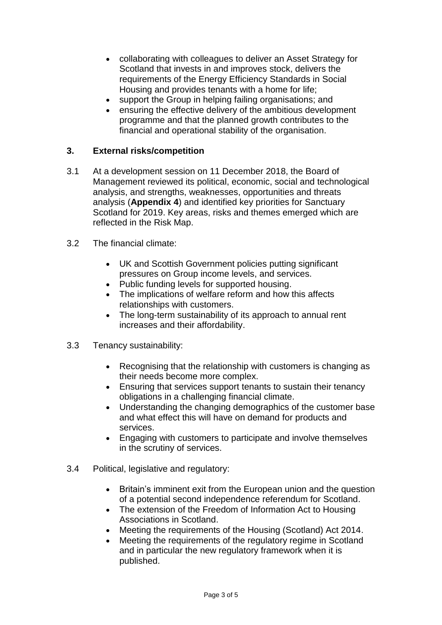- collaborating with colleagues to deliver an Asset Strategy for Scotland that invests in and improves stock, delivers the requirements of the Energy Efficiency Standards in Social Housing and provides tenants with a home for life;
- support the Group in helping failing organisations; and
- ensuring the effective delivery of the ambitious development programme and that the planned growth contributes to the financial and operational stability of the organisation.

#### **3. External risks/competition**

- 3.1 At a development session on 11 December 2018, the Board of Management reviewed its political, economic, social and technological analysis, and strengths, weaknesses, opportunities and threats analysis (**Appendix 4**) and identified key priorities for Sanctuary Scotland for 2019. Key areas, risks and themes emerged which are reflected in the Risk Map.
- 3.2 The financial climate:
	- UK and Scottish Government policies putting significant pressures on Group income levels, and services.
	- Public funding levels for supported housing.
	- The implications of welfare reform and how this affects relationships with customers.
	- The long-term sustainability of its approach to annual rent increases and their affordability.
- 3.3 Tenancy sustainability:
	- Recognising that the relationship with customers is changing as their needs become more complex.
	- Ensuring that services support tenants to sustain their tenancy obligations in a challenging financial climate.
	- Understanding the changing demographics of the customer base and what effect this will have on demand for products and services.
	- Engaging with customers to participate and involve themselves in the scrutiny of services.
- 3.4 Political, legislative and regulatory:
	- Britain's imminent exit from the European union and the question of a potential second independence referendum for Scotland.
	- The extension of the Freedom of Information Act to Housing Associations in Scotland.
	- Meeting the requirements of the Housing (Scotland) Act 2014.
	- Meeting the requirements of the regulatory regime in Scotland and in particular the new regulatory framework when it is published.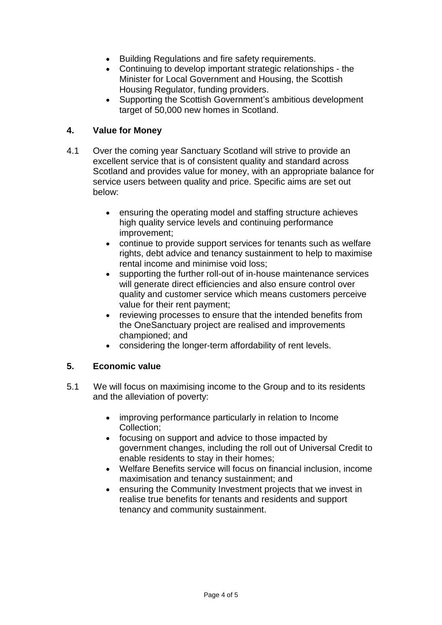- Building Regulations and fire safety requirements.
- Continuing to develop important strategic relationships the Minister for Local Government and Housing, the Scottish Housing Regulator, funding providers.
- Supporting the Scottish Government's ambitious development target of 50,000 new homes in Scotland.

## **4. Value for Money**

- 4.1 Over the coming year Sanctuary Scotland will strive to provide an excellent service that is of consistent quality and standard across Scotland and provides value for money, with an appropriate balance for service users between quality and price. Specific aims are set out below:
	- ensuring the operating model and staffing structure achieves high quality service levels and continuing performance improvement;
	- continue to provide support services for tenants such as welfare rights, debt advice and tenancy sustainment to help to maximise rental income and minimise void loss;
	- supporting the further roll-out of in-house maintenance services will generate direct efficiencies and also ensure control over quality and customer service which means customers perceive value for their rent payment;
	- reviewing processes to ensure that the intended benefits from the OneSanctuary project are realised and improvements championed; and
	- considering the longer-term affordability of rent levels.

## **5. Economic value**

- 5.1 We will focus on maximising income to the Group and to its residents and the alleviation of poverty:
	- improving performance particularly in relation to Income Collection;
	- focusing on support and advice to those impacted by government changes, including the roll out of Universal Credit to enable residents to stay in their homes;
	- Welfare Benefits service will focus on financial inclusion, income maximisation and tenancy sustainment; and
	- ensuring the Community Investment projects that we invest in realise true benefits for tenants and residents and support tenancy and community sustainment.